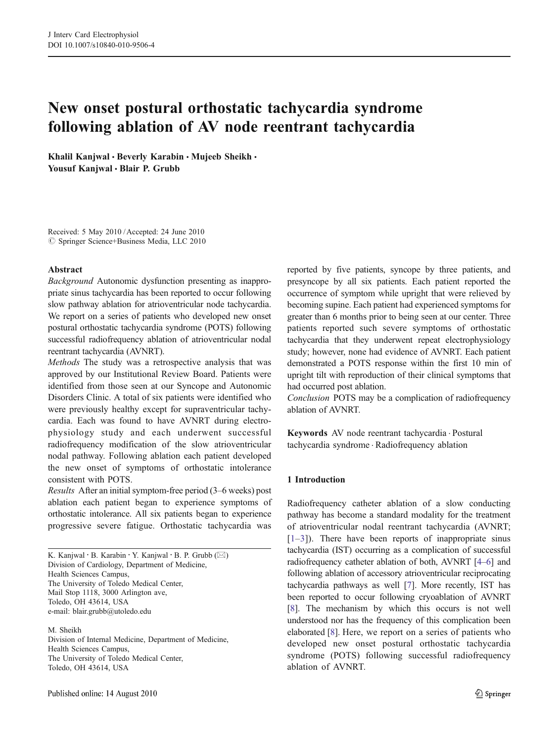# New onset postural orthostatic tachycardia syndrome following ablation of AV node reentrant tachycardia

Khalil Kanjwal · Beverly Karabin · Mujeeb Sheikh · Yousuf Kanjwal · Blair P. Grubb

Received: 5 May 2010 /Accepted: 24 June 2010  $©$  Springer Science+Business Media, LLC 2010

## Abstract

Background Autonomic dysfunction presenting as inappropriate sinus tachycardia has been reported to occur following slow pathway ablation for atrioventricular node tachycardia. We report on a series of patients who developed new onset postural orthostatic tachycardia syndrome (POTS) following successful radiofrequency ablation of atrioventricular nodal reentrant tachycardia (AVNRT).

Methods The study was a retrospective analysis that was approved by our Institutional Review Board. Patients were identified from those seen at our Syncope and Autonomic Disorders Clinic. A total of six patients were identified who were previously healthy except for supraventricular tachycardia. Each was found to have AVNRT during electrophysiology study and each underwent successful radiofrequency modification of the slow atrioventricular nodal pathway. Following ablation each patient developed the new onset of symptoms of orthostatic intolerance consistent with POTS.

Results After an initial symptom-free period (3–6 weeks) post ablation each patient began to experience symptoms of orthostatic intolerance. All six patients began to experience progressive severe fatigue. Orthostatic tachycardia was

K. Kanjwal · B. Karabin · Y. Kanjwal · B. P. Grubb  $(\boxtimes)$ Division of Cardiology, Department of Medicine, Health Sciences Campus, The University of Toledo Medical Center, Mail Stop 1118, 3000 Arlington ave, Toledo, OH 43614, USA e-mail: blair.grubb@utoledo.edu

M. Sheikh

Division of Internal Medicine, Department of Medicine, Health Sciences Campus, The University of Toledo Medical Center, Toledo, OH 43614, USA

reported by five patients, syncope by three patients, and presyncope by all six patients. Each patient reported the occurrence of symptom while upright that were relieved by becoming supine. Each patient had experienced symptoms for greater than 6 months prior to being seen at our center. Three patients reported such severe symptoms of orthostatic tachycardia that they underwent repeat electrophysiology study; however, none had evidence of AVNRT. Each patient demonstrated a POTS response within the first 10 min of upright tilt with reproduction of their clinical symptoms that had occurred post ablation.

Conclusion POTS may be a complication of radiofrequency ablation of AVNRT.

Keywords AV node reentrant tachycardia . Postural tachycardia syndrome . Radiofrequency ablation

# 1 Introduction

Radiofrequency catheter ablation of a slow conducting pathway has become a standard modality for the treatment of atrioventricular nodal reentrant tachycardia (AVNRT;  $[1-3]$  $[1-3]$  $[1-3]$  $[1-3]$  $[1-3]$ ). There have been reports of inappropriate sinus tachycardia (IST) occurring as a complication of successful radiofrequency catheter ablation of both, AVNRT [\[4](#page-3-0)–[6](#page-3-0)] and following ablation of accessory atrioventricular reciprocating tachycardia pathways as well [[7\]](#page-3-0). More recently, IST has been reported to occur following cryoablation of AVNRT [\[8](#page-3-0)]. The mechanism by which this occurs is not well understood nor has the frequency of this complication been elaborated [\[8\]](#page-3-0). Here, we report on a series of patients who developed new onset postural orthostatic tachycardia syndrome (POTS) following successful radiofrequency ablation of AVNRT.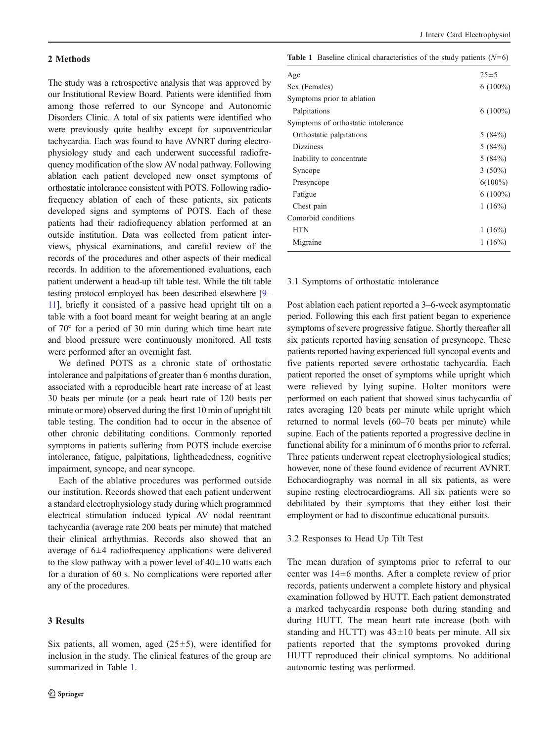## 2 Methods

The study was a retrospective analysis that was approved by our Institutional Review Board. Patients were identified from among those referred to our Syncope and Autonomic Disorders Clinic. A total of six patients were identified who were previously quite healthy except for supraventricular tachycardia. Each was found to have AVNRT during electrophysiology study and each underwent successful radiofrequency modification of the slow AV nodal pathway. Following ablation each patient developed new onset symptoms of orthostatic intolerance consistent with POTS. Following radiofrequency ablation of each of these patients, six patients developed signs and symptoms of POTS. Each of these patients had their radiofrequency ablation performed at an outside institution. Data was collected from patient interviews, physical examinations, and careful review of the records of the procedures and other aspects of their medical records. In addition to the aforementioned evaluations, each patient underwent a head-up tilt table test. While the tilt table testing protocol employed has been described elsewhere [\[9](#page-3-0)– [11](#page-3-0)], briefly it consisted of a passive head upright tilt on a table with a foot board meant for weight bearing at an angle of 70° for a period of 30 min during which time heart rate and blood pressure were continuously monitored. All tests were performed after an overnight fast.

We defined POTS as a chronic state of orthostatic intolerance and palpitations of greater than 6 months duration, associated with a reproducible heart rate increase of at least 30 beats per minute (or a peak heart rate of 120 beats per minute or more) observed during the first 10 min of upright tilt table testing. The condition had to occur in the absence of other chronic debilitating conditions. Commonly reported symptoms in patients suffering from POTS include exercise intolerance, fatigue, palpitations, lightheadedness, cognitive impairment, syncope, and near syncope.

Each of the ablative procedures was performed outside our institution. Records showed that each patient underwent a standard electrophysiology study during which programmed electrical stimulation induced typical AV nodal reentrant tachycardia (average rate 200 beats per minute) that matched their clinical arrhythmias. Records also showed that an average of 6±4 radiofrequency applications were delivered to the slow pathway with a power level of  $40\pm10$  watts each for a duration of 60 s. No complications were reported after any of the procedures.

# 3 Results

<span id="page-1-0"></span>Six patients, all women, aged  $(25±5)$ , were identified for inclusion in the study. The clinical features of the group are summarized in Table [1.](#page-1-0)

**Table 1** Baseline clinical characteristics of the study patients  $(N=6)$ 

| Age                                 | $25 \pm 5$ |
|-------------------------------------|------------|
| Sex (Females)                       | $6(100\%)$ |
| Symptoms prior to ablation          |            |
| Palpitations                        | $6(100\%)$ |
| Symptoms of orthostatic intolerance |            |
| Orthostatic palpitations            | 5(84%)     |
| <b>Dizziness</b>                    | 5(84%)     |
| Inability to concentrate            | 5(84%)     |
| Syncope                             | $3(50\%)$  |
| Presyncope                          | $6(100\%)$ |
| Fatigue                             | $6(100\%)$ |
| Chest pain                          | 1(16%)     |
| Comorbid conditions                 |            |
| <b>HTN</b>                          | 1(16%)     |
| Migraine                            | 1(16%)     |
|                                     |            |

#### 3.1 Symptoms of orthostatic intolerance

Post ablation each patient reported a 3–6-week asymptomatic period. Following this each first patient began to experience symptoms of severe progressive fatigue. Shortly thereafter all six patients reported having sensation of presyncope. These patients reported having experienced full syncopal events and five patients reported severe orthostatic tachycardia. Each patient reported the onset of symptoms while upright which were relieved by lying supine. Holter monitors were performed on each patient that showed sinus tachycardia of rates averaging 120 beats per minute while upright which returned to normal levels (60–70 beats per minute) while supine. Each of the patients reported a progressive decline in functional ability for a minimum of 6 months prior to referral. Three patients underwent repeat electrophysiological studies; however, none of these found evidence of recurrent AVNRT. Echocardiography was normal in all six patients, as were supine resting electrocardiograms. All six patients were so debilitated by their symptoms that they either lost their employment or had to discontinue educational pursuits.

### 3.2 Responses to Head Up Tilt Test

The mean duration of symptoms prior to referral to our center was 14±6 months. After a complete review of prior records, patients underwent a complete history and physical examination followed by HUTT. Each patient demonstrated a marked tachycardia response both during standing and during HUTT. The mean heart rate increase (both with standing and HUTT) was  $43\pm10$  beats per minute. All six patients reported that the symptoms provoked during HUTT reproduced their clinical symptoms. No additional autonomic testing was performed.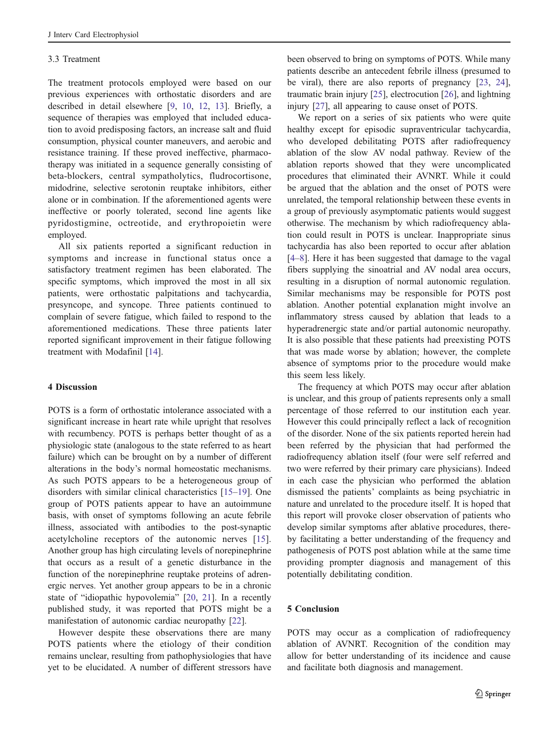#### 3.3 Treatment

The treatment protocols employed were based on our previous experiences with orthostatic disorders and are described in detail elsewhere [\[9](#page-3-0), [10,](#page-3-0) [12,](#page-3-0) [13](#page-3-0)]. Briefly, a sequence of therapies was employed that included education to avoid predisposing factors, an increase salt and fluid consumption, physical counter maneuvers, and aerobic and resistance training. If these proved ineffective, pharmacotherapy was initiated in a sequence generally consisting of beta-blockers, central sympatholytics, fludrocortisone, midodrine, selective serotonin reuptake inhibitors, either alone or in combination. If the aforementioned agents were ineffective or poorly tolerated, second line agents like pyridostigmine, octreotide, and erythropoietin were employed.

All six patients reported a significant reduction in symptoms and increase in functional status once a satisfactory treatment regimen has been elaborated. The specific symptoms, which improved the most in all six patients, were orthostatic palpitations and tachycardia, presyncope, and syncope. Three patients continued to complain of severe fatigue, which failed to respond to the aforementioned medications. These three patients later reported significant improvement in their fatigue following treatment with Modafinil [\[14](#page-3-0)].

## 4 Discussion

POTS is a form of orthostatic intolerance associated with a significant increase in heart rate while upright that resolves with recumbency. POTS is perhaps better thought of as a physiologic state (analogous to the state referred to as heart failure) which can be brought on by a number of different alterations in the body's normal homeostatic mechanisms. As such POTS appears to be a heterogeneous group of disorders with similar clinical characteristics [\[15](#page-3-0)–[19](#page-3-0)]. One group of POTS patients appear to have an autoimmune basis, with onset of symptoms following an acute febrile illness, associated with antibodies to the post-synaptic acetylcholine receptors of the autonomic nerves [[15](#page-3-0)]. Another group has high circulating levels of norepinephrine that occurs as a result of a genetic disturbance in the function of the norepinephrine reuptake proteins of adrenergic nerves. Yet another group appears to be in a chronic state of "idiopathic hypovolemia" [[20,](#page-3-0) [21\]](#page-3-0). In a recently published study, it was reported that POTS might be a manifestation of autonomic cardiac neuropathy [\[22](#page-3-0)].

However despite these observations there are many POTS patients where the etiology of their condition remains unclear, resulting from pathophysiologies that have yet to be elucidated. A number of different stressors have

been observed to bring on symptoms of POTS. While many patients describe an antecedent febrile illness (presumed to be viral), there are also reports of pregnancy [[23,](#page-3-0) [24\]](#page-3-0), traumatic brain injury [[25\]](#page-3-0), electrocution [\[26](#page-3-0)], and lightning injury [\[27](#page-3-0)], all appearing to cause onset of POTS.

We report on a series of six patients who were quite healthy except for episodic supraventricular tachycardia, who developed debilitating POTS after radiofrequency ablation of the slow AV nodal pathway. Review of the ablation reports showed that they were uncomplicated procedures that eliminated their AVNRT. While it could be argued that the ablation and the onset of POTS were unrelated, the temporal relationship between these events in a group of previously asymptomatic patients would suggest otherwise. The mechanism by which radiofrequency ablation could result in POTS is unclear. Inappropriate sinus tachycardia has also been reported to occur after ablation [\[4](#page-3-0)–[8](#page-3-0)]. Here it has been suggested that damage to the vagal fibers supplying the sinoatrial and AV nodal area occurs, resulting in a disruption of normal autonomic regulation. Similar mechanisms may be responsible for POTS post ablation. Another potential explanation might involve an inflammatory stress caused by ablation that leads to a hyperadrenergic state and/or partial autonomic neuropathy. It is also possible that these patients had preexisting POTS that was made worse by ablation; however, the complete absence of symptoms prior to the procedure would make this seem less likely.

The frequency at which POTS may occur after ablation is unclear, and this group of patients represents only a small percentage of those referred to our institution each year. However this could principally reflect a lack of recognition of the disorder. None of the six patients reported herein had been referred by the physician that had performed the radiofrequency ablation itself (four were self referred and two were referred by their primary care physicians). Indeed in each case the physician who performed the ablation dismissed the patients' complaints as being psychiatric in nature and unrelated to the procedure itself. It is hoped that this report will provoke closer observation of patients who develop similar symptoms after ablative procedures, thereby facilitating a better understanding of the frequency and pathogenesis of POTS post ablation while at the same time providing prompter diagnosis and management of this potentially debilitating condition.

# 5 Conclusion

POTS may occur as a complication of radiofrequency ablation of AVNRT. Recognition of the condition may allow for better understanding of its incidence and cause and facilitate both diagnosis and management.